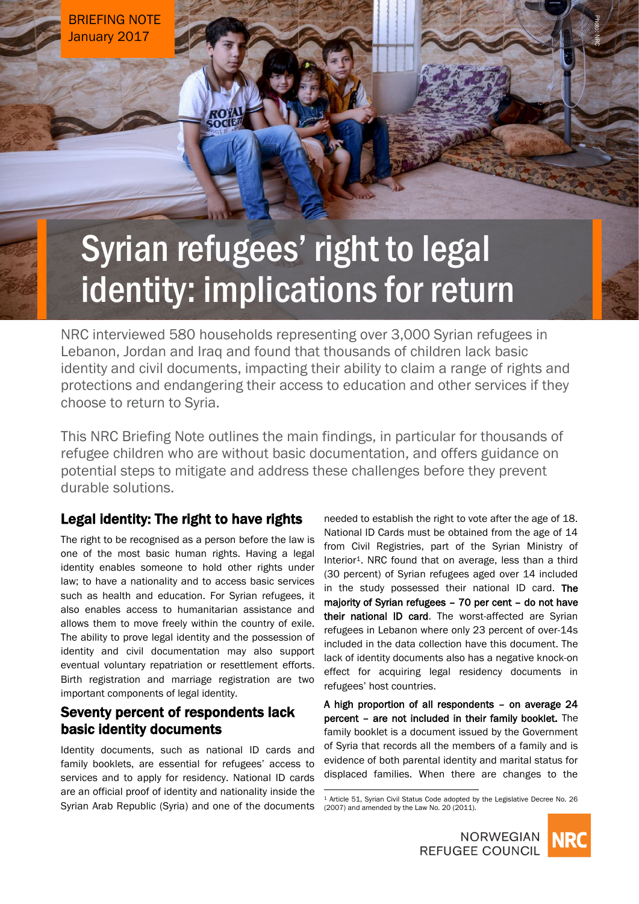BRIEFING NOTE January 2017

# Syrian refugees' right to legal identity: implications for return

NRC interviewed 580 households representing over 3,000 Syrian refugees in Lebanon, Jordan and Iraq and found that thousands of children lack basic identity and civil documents, impacting their ability to claim a range of rights and protections and endangering their access to education and other services if they choose to return to Syria.

This NRC Briefing Note outlines the main findings, in particular for thousands of refugee children who are without basic documentation, and offers guidance on potential steps to mitigate and address these challenges before they prevent durable solutions.

 $\overline{a}$ 

## Legal identity: The right to have rights

The right to be recognised as a person before the law is one of the most basic human rights. Having a legal identity enables someone to hold other rights under law; to have a nationality and to access basic services such as health and education. For Syrian refugees, it also enables access to humanitarian assistance and allows them to move freely within the country of exile. The ability to prove legal identity and the possession of identity and civil documentation may also support eventual voluntary repatriation or resettlement efforts. Birth registration and marriage registration are two important components of legal identity.

# Seventy percent of respondents lack basic identity documents

Identity documents, such as national ID cards and family booklets, are essential for refugees' access to services and to apply for residency. National ID cards are an official proof of identity and nationality inside the Syrian Arab Republic (Syria) and one of the documents needed to establish the right to vote after the age of 18. National ID Cards must be obtained from the age of 14 from Civil Registries, part of the Syrian Ministry of Interior<sup>1</sup>. NRC found that on average, less than a third (30 percent) of Syrian refugees aged over 14 included in the study possessed their national ID card. The majority of Syrian refugees – 70 per cent – do not have their national ID card. The worst-affected are Syrian refugees in Lebanon where only 23 percent of over-14s included in the data collection have this document. The lack of identity documents also has a negative knock-on effect for acquiring legal residency documents in refugees' host countries.

A high proportion of all respondents – on average 24 percent – are not included in their family booklet. The family booklet is a document issued by the Government of Syria that records all the members of a family and is evidence of both parental identity and marital status for displaced families. When there are changes to the

<sup>1</sup> Article 51, Syrian Civil Status Code adopted by the Legislative Decree No. 26 (2007) and amended by the Law No. 20 (2011).





Photo: NRC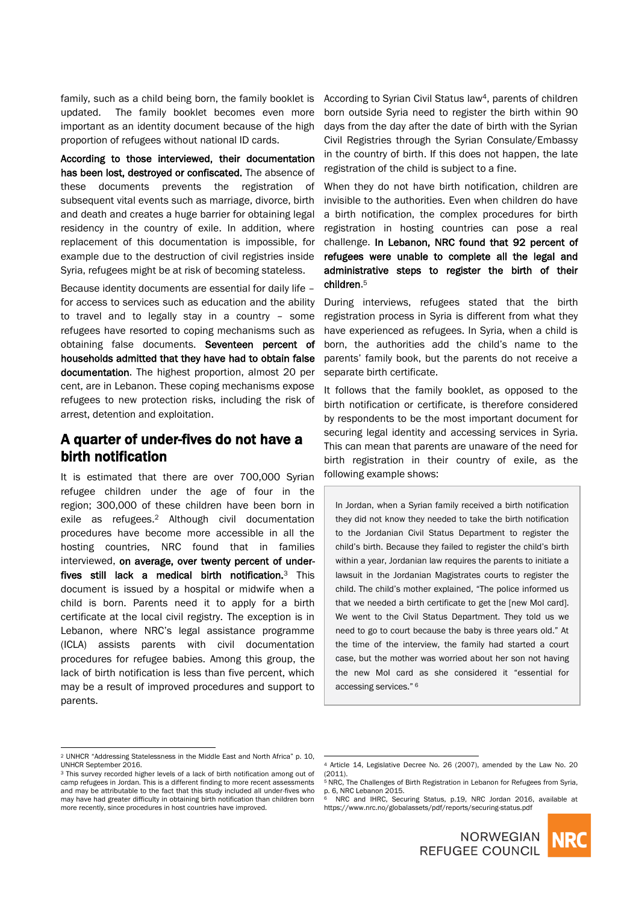family, such as a child being born, the family booklet is updated. The family booklet becomes even more important as an identity document because of the high proportion of refugees without national ID cards.

According to those interviewed, their documentation has been lost, destroyed or confiscated. The absence of these documents prevents the registration of subsequent vital events such as marriage, divorce, birth and death and creates a huge barrier for obtaining legal residency in the country of exile. In addition, where replacement of this documentation is impossible, for example due to the destruction of civil registries inside Syria, refugees might be at risk of becoming stateless.

Because identity documents are essential for daily life – for access to services such as education and the ability to travel and to legally stay in a country – some refugees have resorted to coping mechanisms such as obtaining false documents. Seventeen percent of households admitted that they have had to obtain false documentation. The highest proportion, almost 20 per cent, are in Lebanon. These coping mechanisms expose refugees to new protection risks, including the risk of arrest, detention and exploitation.

# A quarter of under-fives do not have a birth notification

It is estimated that there are over 700,000 Syrian refugee children under the age of four in the region; 300,000 of these children have been born in exile as refugees. <sup>2</sup> Although civil documentation procedures have become more accessible in all the hosting countries, NRC found that in families interviewed, on average, over twenty percent of underfives still lack a medical birth notification.3 This document is issued by a hospital or midwife when a child is born. Parents need it to apply for a birth certificate at the local civil registry. The exception is in Lebanon, where NRC's legal assistance programme (ICLA) assists parents with civil documentation procedures for refugee babies. Among this group, the lack of birth notification is less than five percent, which may be a result of improved procedures and support to parents.

According to Syrian Civil Status law4, parents of children born outside Syria need to register the birth within 90 days from the day after the date of birth with the Syrian Civil Registries through the Syrian Consulate/Embassy in the country of birth. If this does not happen, the late registration of the child is subject to a fine.

When they do not have birth notification, children are invisible to the authorities. Even when children do have a birth notification, the complex procedures for birth registration in hosting countries can pose a real challenge. In Lebanon, NRC found that 92 percent of refugees were unable to complete all the legal and administrative steps to register the birth of their children. 5

During interviews, refugees stated that the birth registration process in Syria is different from what they have experienced as refugees. In Syria, when a child is born, the authorities add the child's name to the parents' family book, but the parents do not receive a separate birth certificate.

It follows that the family booklet, as opposed to the birth notification or certificate, is therefore considered by respondents to be the most important document for securing legal identity and accessing services in Syria. This can mean that parents are unaware of the need for birth registration in their country of exile, as the following example shows:

In Jordan, when a Syrian family received a birth notification they did not know they needed to take the birth notification to the Jordanian Civil Status Department to register the child's birth. Because they failed to register the child's birth within a year, Jordanian law requires the parents to initiate a lawsuit in the Jordanian Magistrates courts to register the child. The child's mother explained, "The police informed us that we needed a birth certificate to get the [new MoI card]. We went to the Civil Status Department. They told us we need to go to court because the baby is three years old." At the time of the interview, the family had started a court case, but the mother was worried about her son not having the new MoI card as she considered it "essential for accessing services." <sup>6</sup>

 $\overline{a}$ 

 $\overline{a}$ 

https://www.nrc.no/globalassets/pdf/reports/securing-status.pdf



<sup>2</sup> UNHCR "Addressing Statelessness in the Middle East and North Africa" p. 10, UNHCR September 2016.

<sup>&</sup>lt;sup>3</sup> This survey recorded higher levels of a lack of birth notification among out of camp refugees in Jordan. This is a different finding to more recent assessments and may be attributable to the fact that this study included all under-fives who may have had greater difficulty in obtaining birth notification than children born more recently, since procedures in host countries have improved.

<sup>4</sup> Article 14, Legislative Decree No. 26 (2007), amended by the Law No. 20  $(2011)$ . <sup>5</sup> NRC, The Challenges of Birth Registration in Lebanon for Refugees from Syria,

p. 6, NRC Lebanon 2015. NRC and IHRC, Securing Status, p.19, NRC Jordan 2016, available at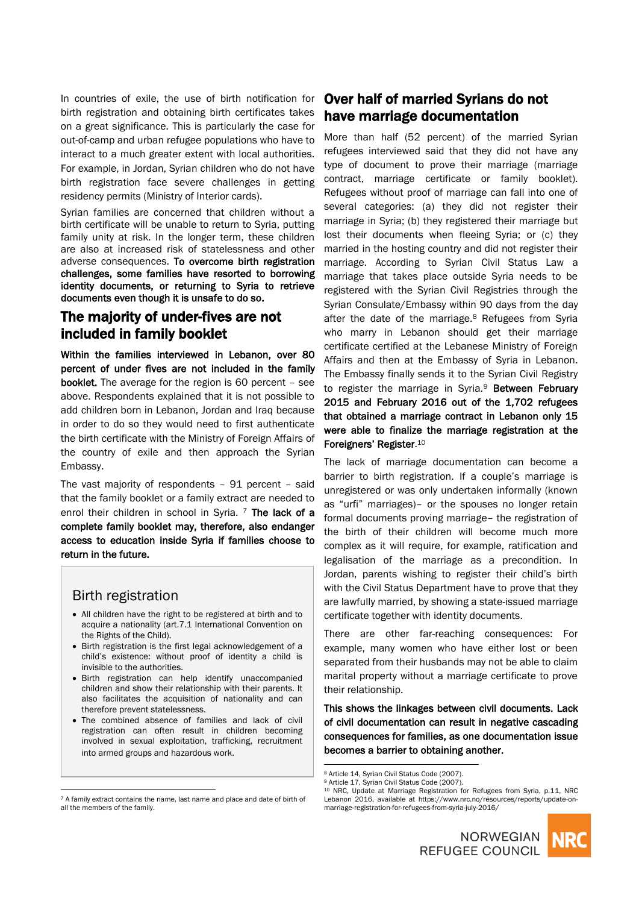In countries of exile, the use of birth notification for birth registration and obtaining birth certificates takes on a great significance. This is particularly the case for out-of-camp and urban refugee populations who have to interact to a much greater extent with local authorities. For example, in Jordan, Syrian children who do not have birth registration face severe challenges in getting residency permits (Ministry of Interior cards).

Syrian families are concerned that children without a birth certificate will be unable to return to Syria, putting family unity at risk. In the longer term, these children are also at increased risk of statelessness and other adverse consequences. To overcome birth registration challenges, some families have resorted to borrowing identity documents, or returning to Syria to retrieve documents even though it is unsafe to do so.

# The majority of under-fives are not included in family booklet

Within the families interviewed in Lebanon, over 80 percent of under fives are not included in the family booklet. The average for the region is 60 percent – see above. Respondents explained that it is not possible to add children born in Lebanon, Jordan and Iraq because in order to do so they would need to first authenticate the birth certificate with the Ministry of Foreign Affairs of the country of exile and then approach the Syrian Embassy.

The vast majority of respondents – 91 percent – said that the family booklet or a family extract are needed to enrol their children in school in Syria. <sup>7</sup> The lack of a complete family booklet may, therefore, also endanger access to education inside Syria if families choose to return in the future.

### Birth registration

 $\overline{a}$ 

- All children have the right to be registered at birth and to acquire a nationality (art.7.1 International Convention on the Rights of the Child).
- Birth registration is the first legal acknowledgement of a child's existence: without proof of identity a child is invisible to the authorities.
- Birth registration can help identify unaccompanied children and show their relationship with their parents. It also facilitates the acquisition of nationality and can therefore prevent statelessness.
- The combined absence of families and lack of civil registration can often result in children becoming involved in sexual exploitation, trafficking, recruitment into armed groups and hazardous work.

#### <sup>7</sup> A family extract contains the name, last name and place and date of birth of all the members of the family.

# Over half of married Syrians do not have marriage documentation

More than half (52 percent) of the married Syrian refugees interviewed said that they did not have any type of document to prove their marriage (marriage contract, marriage certificate or family booklet). Refugees without proof of marriage can fall into one of several categories: (a) they did not register their marriage in Syria; (b) they registered their marriage but lost their documents when fleeing Syria; or (c) they married in the hosting country and did not register their marriage. According to Syrian Civil Status Law a marriage that takes place outside Syria needs to be registered with the Syrian Civil Registries through the Syrian Consulate/Embassy within 90 days from the day after the date of the marriage.<sup>8</sup> Refugees from Syria who marry in Lebanon should get their marriage certificate certified at the Lebanese Ministry of Foreign Affairs and then at the Embassy of Syria in Lebanon. The Embassy finally sends it to the Syrian Civil Registry to register the marriage in Syria.<sup>9</sup> Between February 2015 and February 2016 out of the 1,702 refugees that obtained a marriage contract in Lebanon only 15 were able to finalize the marriage registration at the Foreigners' Register. 10

The lack of marriage documentation can become a barrier to birth registration. If a couple's marriage is unregistered or was only undertaken informally (known as "urfi" marriages)– or the spouses no longer retain formal documents proving marriage– the registration of the birth of their children will become much more complex as it will require, for example, ratification and legalisation of the marriage as a precondition. In Jordan, parents wishing to register their child's birth with the Civil Status Department have to prove that they are lawfully married, by showing a state-issued marriage certificate together with identity documents.

There are other far-reaching consequences: For example, many women who have either lost or been separated from their husbands may not be able to claim marital property without a marriage certificate to prove their relationship.

This shows the linkages between civil documents. Lack of civil documentation can result in negative cascading consequences for families, as one documentation issue becomes a barrier to obtaining another.

 $\overline{a}$ 

<sup>10</sup> NRC, Update at Marriage Registration for Refugees from Syria, p.11, NRC Lebanon 2016, available at https://www.nrc.no/resources/reports/update-onmarriage-registration-for-refugees-from-syria-july-2016/





<sup>8</sup> Article 14, Syrian Civil Status Code (2007).

<sup>9</sup> Article 17, Syrian Civil Status Code (2007).